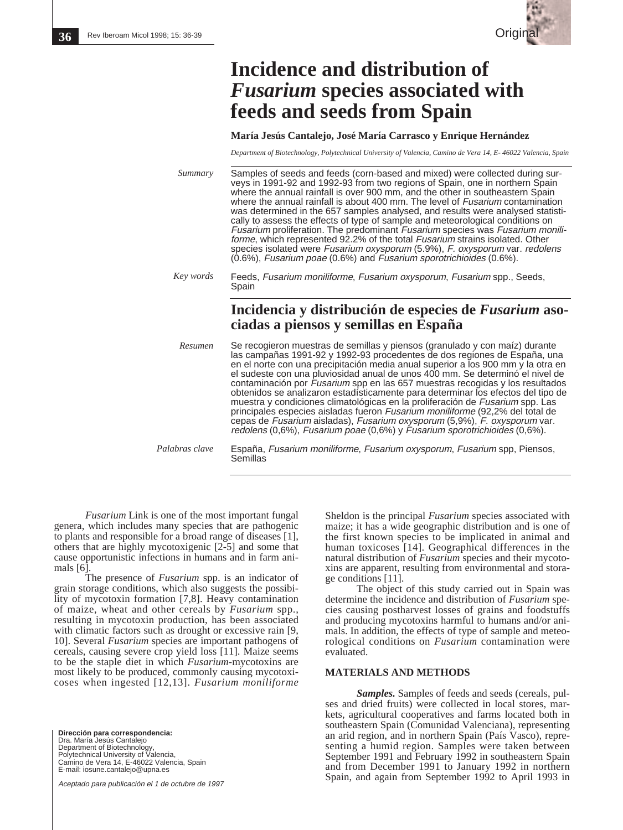

## **Incidence and distribution of** *Fusarium* **species associated with feeds and seeds from Spain**

**María Jesús Cantalejo, José María Carrasco y Enrique Hernández**

*Department of Biotechnology, Polytechnical University of Valencia, Camino de Vera 14, E- 46022 Valencia, Spain*

| Summary        | Samples of seeds and feeds (corn-based and mixed) were collected during sur-<br>veys in 1991-92 and 1992-93 from two regions of Spain, one in northern Spain<br>where the annual rainfall is over 900 mm, and the other in southeastern Spain<br>where the annual rainfall is about 400 mm. The level of <i>Fusarium</i> contamination<br>was determined in the 657 samples analysed, and results were analysed statisti-<br>cally to assess the effects of type of sample and meteorological conditions on<br>Fusarium proliferation. The predominant Fusarium species was Fusarium monili-<br>forme, which represented 92.2% of the total <i>Fusarium</i> strains isolated. Other<br>species isolated were Fusarium oxysporum (5.9%), F. oxysporum var. redolens<br>(0.6%), Fusarium poae (0.6%) and Fusarium sporotrichioides (0.6%).  |
|----------------|-------------------------------------------------------------------------------------------------------------------------------------------------------------------------------------------------------------------------------------------------------------------------------------------------------------------------------------------------------------------------------------------------------------------------------------------------------------------------------------------------------------------------------------------------------------------------------------------------------------------------------------------------------------------------------------------------------------------------------------------------------------------------------------------------------------------------------------------|
| Key words      | Feeds, Fusarium moniliforme, Fusarium oxysporum, Fusarium spp., Seeds,<br>Spain                                                                                                                                                                                                                                                                                                                                                                                                                                                                                                                                                                                                                                                                                                                                                           |
|                | Incidencia y distribución de especies de <i>Fusarium</i> aso-<br>ciadas a piensos y semillas en España                                                                                                                                                                                                                                                                                                                                                                                                                                                                                                                                                                                                                                                                                                                                    |
| Resumen        | Se recogieron muestras de semillas y piensos (granulado y con maíz) durante<br>las campañas 1991-92 y 1992-93 procedentes de dos regiones de España, una<br>en el norte con una precipitación media anual superior a los 900 mm y la otra en<br>el sudeste con una pluviosidad anual de unos 400 mm. Se determinó el nivel de<br>contaminación por Fusarium spp en las 657 muestras recogidas y los resultados<br>obtenidos se analizaron estadísticamente para determinar los efectos del tipo de<br>muestra y condiciones climatológicas en la proliferación de Fusarium spp. Las<br>principales especies aisladas fueron Fusarium moniliforme (92,2% del total de<br>cepas de Fusarium aisladas), Fusarium oxysporum (5,9%), F. oxysporum var.<br>redolens $(0,6\%)$ , Fusarium poae $(0,6\%)$ y Fusarium sporotrichioides $(0,6\%)$ . |
| Palabras clave | España, Fusarium moniliforme, Fusarium oxysporum, Fusarium spp, Piensos,<br>Semillas                                                                                                                                                                                                                                                                                                                                                                                                                                                                                                                                                                                                                                                                                                                                                      |

*Fusarium* Link is one of the most important fungal genera, which includes many species that are pathogenic to plants and responsible for a broad range of diseases [1], others that are highly mycotoxigenic [2-5] and some that cause opportunistic infections in humans and in farm animals [6].

The presence of *Fusarium* spp. is an indicator of grain storage conditions, which also suggests the possibility of mycotoxin formation [7,8]. Heavy contamination of maize, wheat and other cereals by *Fusarium* spp., resulting in mycotoxin production, has been associated with climatic factors such as drought or excessive rain [9, 10]. Several *Fusarium* species are important pathogens of cereals, causing severe crop yield loss [11]. Maize seems to be the staple diet in which *Fusarium*-mycotoxins are most likely to be produced, commonly causing mycotoxicoses when ingested [12,13]. *Fusarium moniliforme*

**Dirección para correspondencia:**  Dra. María Jesús Cantalejo Department of Biotechnology, Polytechnical University of Valencia, Camino de Vera 14, E-46022 Valencia, Spain E-mail: iosune.cantalejo@upna.es

Aceptado para publicación el 1 de octubre de 1997

Sheldon is the principal *Fusarium* species associated with maize; it has a wide geographic distribution and is one of the first known species to be implicated in animal and human toxicoses [14]. Geographical differences in the natural distribution of *Fusarium* species and their mycotoxins are apparent, resulting from environmental and storage conditions [11].

The object of this study carried out in Spain was determine the incidence and distribution of *Fusarium* species causing postharvest losses of grains and foodstuffs and producing mycotoxins harmful to humans and/or animals. In addition, the effects of type of sample and meteorological conditions on *Fusarium* contamination were evaluated.

## **MATERIALS AND METHODS**

*Samples.* Samples of feeds and seeds (cereals, pulses and dried fruits) were collected in local stores, markets, agricultural cooperatives and farms located both in southeastern Spain (Comunidad Valenciana), representing an arid region, and in northern Spain (País Vasco), representing a humid region. Samples were taken between September 1991 and February 1992 in southeastern Spain and from December 1991 to January 1992 in northern Spain, and again from September 1992 to April 1993 in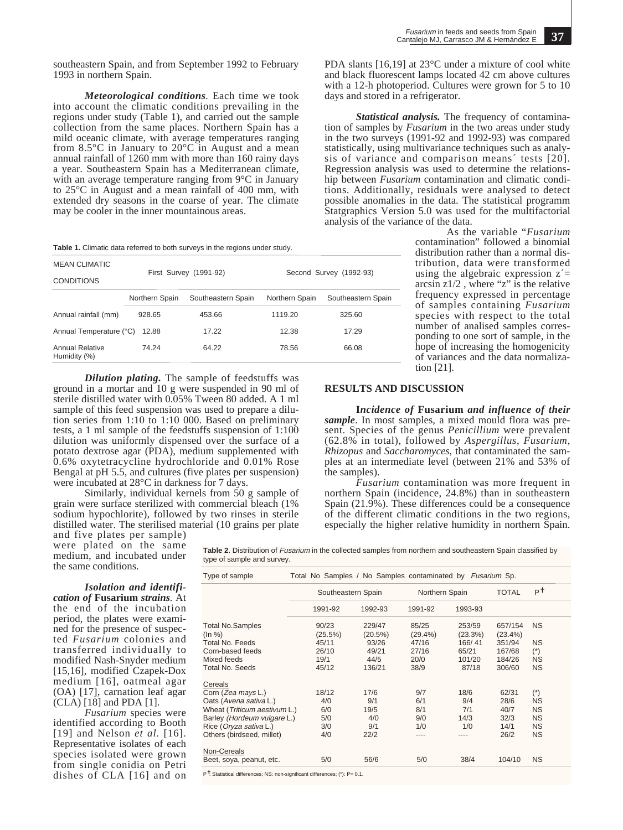southeastern Spain, and from September 1992 to February 1993 in northern Spain.

*Meteorological conditions.* Each time we took into account the climatic conditions prevailing in the regions under study (Table 1), and carried out the sample collection from the same places. Northern Spain has a mild oceanic climate, with average temperatures ranging from 8.5°C in January to 20°C in August and a mean annual rainfall of 1260 mm with more than 160 rainy days a year. Southeastern Spain has a Mediterranean climate, with an average temperature ranging from 9<sup>o</sup>C in January to 25°C in August and a mean rainfall of 400 mm, with extended dry seasons in the coarse of year. The climate may be cooler in the inner mountainous areas.

Table 1. Climatic data referred to both surveys in the regions under study.

| <b>MEAN CLIMATIC</b><br><b>CONDITIONS</b> |                | First Survey (1991-92) | Second Survey (1992-93) |                    |  |  |
|-------------------------------------------|----------------|------------------------|-------------------------|--------------------|--|--|
|                                           | Northern Spain | Southeastern Spain     | Northern Spain          | Southeastern Spain |  |  |
| Annual rainfall (mm)                      | 928.65         | 453.66                 | 1119.20                 | 325.60             |  |  |
| Annual Temperature (°C)                   | 12.88          | 17.22                  | 12.38                   | 17.29              |  |  |
| <b>Annual Relative</b><br>Humidity (%)    | 74.24          | 64.22                  | 78.56                   | 66.08              |  |  |

*Dilution plating.* The sample of feedstuffs was ground in a mortar and 10 g were suspended in 90 ml of sterile distilled water with 0.05% Tween 80 added. A 1 ml sample of this feed suspension was used to prepare a dilution series from 1:10 to 1:10 000. Based on preliminary tests, a 1 ml sample of the feedstuffs suspension of 1:100 dilution was uniformly dispensed over the surface of a potato dextrose agar (PDA), medium supplemented with 0.6% oxytetracycline hydrochloride and 0.01% Rose Bengal at pH 5.5, and cultures (five plates per suspension) were incubated at 28°C in darkness for 7 days.

Similarly, individual kernels from 50 g sample of grain were surface sterilized with commercial bleach (1% sodium hypochlorite), followed by two rinses in sterile distilled water. The sterilised material (10 grains per plate

and five plates per sample) were plated on the same medium, and incubated under the same conditions.

*Isolation and identification of* **Fusarium** *strains.* At the end of the incubation period, the plates were examined for the presence of suspected *Fusarium* colonies and transferred individually to modified Nash-Snyder medium [15,16], modified Czapek-Dox medium [16], oatmeal agar (OA) [17], carnation leaf agar (CLA) [18] and PDA [1].

*Fusarium* species were identified according to Booth [19] and Nelson *et al.* [16]. Representative isolates of each species isolated were grown from single conidia on Petri dishes of CLA [16] and on

**Table 2**. Distribution of Fusarium in the collected samples from northern and southeastern Spain classified by type of sample and survey.

| Type of sample                                              | Total No Samples / No Samples contaminated by <i>Fusarium</i> Sp. |                   |                     |                   |                       |                        |  |
|-------------------------------------------------------------|-------------------------------------------------------------------|-------------------|---------------------|-------------------|-----------------------|------------------------|--|
|                                                             | Southeastern Spain                                                |                   |                     | Northern Spain    |                       | $P^{\dagger}$          |  |
|                                                             | 1991-92                                                           | 1992-93           | 1991-92             | 1993-93           |                       |                        |  |
| <b>Total No.Samples</b><br>(ln %)                           | 90/23<br>(25.5%)                                                  | 229/47<br>(20.5%) | 85/25<br>$(29.4\%)$ | 253/59<br>(23.3%) | 657/154<br>$(23.4\%)$ | <b>NS</b>              |  |
| Total No. Feeds<br>Corn-based feeds                         | 45/11<br>26/10                                                    | 93/26<br>49/21    | 47/16<br>27/16      | 166/41<br>65/21   | 351/94<br>167/68      | <b>NS</b><br>$(*)$     |  |
| Mixed feeds<br>Total No. Seeds                              | 19/1<br>45/12                                                     | 44/5<br>136/21    | 20/0<br>38/9        | 101/20<br>87/18   | 184/26<br>306/60      | <b>NS</b><br><b>NS</b> |  |
| Cereals                                                     |                                                                   |                   |                     |                   |                       |                        |  |
| Corn (Zea mays L.)<br>Oats (Avena sativa L.)                | 18/12<br>4/0                                                      | 17/6<br>9/1       | 9/7<br>6/1          | 18/6<br>9/4       | 62/31<br>28/6         | $(*)$<br><b>NS</b>     |  |
| Wheat (Triticum aestivum L.)<br>Barley (Hordeum vulgare L.) | 6/0<br>5/0                                                        | 19/5<br>4/0       | 8/1<br>9/0          | 7/1<br>14/3       | 40/7<br>32/3          | <b>NS</b><br><b>NS</b> |  |
| Rice (Oryza sativa L.)<br>Others (birdseed, millet)         | 3/0<br>4/0                                                        | 9/1<br>22/2       | 1/0<br>----         | 1/0               | 14/1<br>26/2          | <b>NS</b><br><b>NS</b> |  |
| Non-Cereals                                                 |                                                                   |                   |                     |                   |                       |                        |  |
| Beet, soya, peanut, etc.                                    | 5/0                                                               | 56/6              | 5/0                 | 38/4              | 104/10                | <b>NS</b>              |  |
|                                                             |                                                                   |                   |                     |                   |                       |                        |  |

P✝: Statistical differences; NS: non-significant differences; (\*): P= 0.1.

PDA slants [16,19] at 23°C under a mixture of cool white and black fluorescent lamps located 42 cm above cultures with a 12-h photoperiod. Cultures were grown for 5 to 10 days and stored in a refrigerator.

*Statistical analysis.* The frequency of contamination of samples by *Fusarium* in the two areas under study in the two surveys (1991-92 and 1992-93) was compared statistically, using multivariance techniques such as analysis of variance and comparison means´ tests [20]. Regression analysis was used to determine the relationship between *Fusarium* contamination and climatic conditions. Additionally, residuals were analysed to detect possible anomalies in the data. The statistical programm Statgraphics Version 5.0 was used for the multifactorial analysis of the variance of the data.

> As the variable "*Fusarium* contamination" followed a binomial distribution rather than a normal distribution, data were transformed using the algebraic expression  $z' =$ arcsin  $z1/2$ , where "z" is the relative frequency expressed in percentage of samples containing *Fusarium* species with respect to the total number of analised samples corresponding to one sort of sample, in the hope of increasing the homogenicity of variances and the data normalization [21].

## **RESULTS AND DISCUSSION**

**I***ncidence of* **Fusarium** *and influence of their sample*. In most samples, a mixed mould flora was present. Species of the genus *Penicillium* were prevalent (62.8% in total), followed by *Aspergillus*, *Fusarium*, *Rhizopus* and *Saccharomyces,* that contaminated the samples at an intermediate level (between 21% and 53% of the samples).

*Fusarium* contamination was more frequent in northern Spain (incidence, 24.8%) than in southeastern Spain (21.9%). These differences could be a consequence of the different climatic conditions in the two regions, especially the higher relative humidity in northern Spain.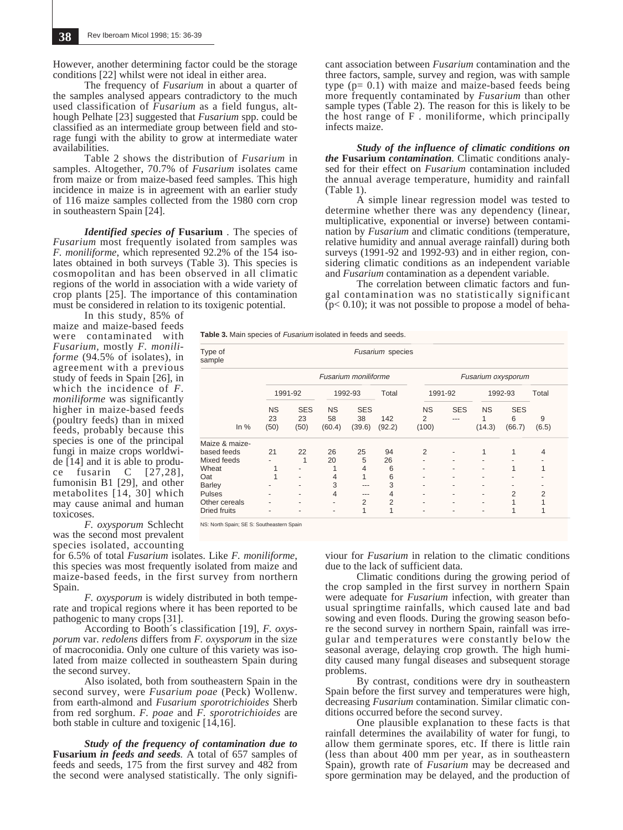However, another determining factor could be the storage conditions [22] whilst were not ideal in either area.

The frequency of *Fusarium* in about a quarter of the samples analysed appears contradictory to the much used classification of *Fusarium* as a field fungus, although Pelhate [23] suggested that *Fusarium* spp. could be classified as an intermediate group between field and storage fungi with the ability to grow at intermediate water availabilities.

Table 2 shows the distribution of *Fusarium* in samples. Altogether, 70.7% of *Fusarium* isolates came from maize or from maize-based feed samples. This high incidence in maize is in agreement with an earlier study of 116 maize samples collected from the 1980 corn crop in southeastern Spain [24].

*Identified species of* **Fusarium** *.* The species of *Fusarium* most frequently isolated from samples was *F. moniliforme*, which represented 92.2% of the 154 isolates obtained in both surveys (Table 3). This species is cosmopolitan and has been observed in all climatic regions of the world in association with a wide variety of crop plants [25]. The importance of this contamination must be considered in relation to its toxigenic potential.

cant association between *Fusarium* contamination and the three factors, sample, survey and region, was with sample type  $(p= 0.1)$  with maize and maize-based feeds being more frequently contaminated by *Fusarium* than other sample types (Table 2). The reason for this is likely to be the host range of F . moniliforme, which principally infects maize.

*Study of the influence of climatic conditions on the* **Fusarium** *contamination.* Climatic conditions analysed for their effect on *Fusarium* contamination included the annual average temperature, humidity and rainfall (Table 1).

A simple linear regression model was tested to determine whether there was any dependency (linear, multiplicative, exponential or inverse) between contamination by *Fusarium* and climatic conditions (temperature, relative humidity and annual average rainfall) during both surveys (1991-92 and 1992-93) and in either region, considering climatic conditions as an independent variable and *Fusarium* contamination as a dependent variable.

The correlation between climatic factors and fungal contamination was no statistically significant  $(p< 0.10)$ ; it was not possible to propose a model of beha-

In this study, 85% of maize and maize-based feeds were contaminated with *Fusarium,* mostly *F. moniliforme* (94.5% of isolates), in agreement with a previous study of feeds in Spain [26], in which the incidence of *F. moniliforme* was significantly higher in maize-based feeds (poultry feeds) than in mixed feeds, probably because this species is one of the principal fungi in maize crops worldwide [14] and it is able to produce fusarin C [27,28], fumonisin B1 [29], and other metabolites [14, 30] which may cause animal and human toxicoses.

*F. oxysporum* Schlecht was the second most prevalent species isolated, accounting

for 6.5% of total *Fusarium* isolates. Like *F. moniliforme*, this species was most frequently isolated from maize and maize-based feeds, in the first survey from northern Spain.

*F. oxysporum* is widely distributed in both temperate and tropical regions where it has been reported to be pathogenic to many crops [31].

According to Booth´s classification [19], *F. oxysporum* var. *redolens* differs from *F. oxysporum* in the size of macroconidia. Only one culture of this variety was isolated from maize collected in southeastern Spain during the second survey.

Also isolated, both from southeastern Spain in the second survey, were *Fusarium poae* (Peck) Wollenw. from earth-almond and *Fusarium sporotrichioides* Sherb from red sorghum. *F. poae* and *F. sporotrichioides* are both stable in culture and toxigenic  $[14,16]$ .

*Study of the frequency of contamination due to* **Fusarium** *in feeds and seeds.* A total of 657 samples of feeds and seeds, 175 from the first survey and 482 from the second were analysed statistically. The only signifi-

| Table 3. Main species of Fusarium isolated in feeds and seeds. |  |  |
|----------------------------------------------------------------|--|--|
|----------------------------------------------------------------|--|--|

| Type of<br>sample   | Fusarium species        |                          |                           |                            |                    |                         |                     |                     |                           |            |
|---------------------|-------------------------|--------------------------|---------------------------|----------------------------|--------------------|-------------------------|---------------------|---------------------|---------------------------|------------|
|                     | Fusarium moniliforme    |                          |                           |                            | Fusarium oxysporum |                         |                     |                     |                           |            |
| In $%$              | 1991-92                 |                          | 1992-93                   |                            | Total              | 1991-92                 |                     | 1992-93             |                           | Total      |
|                     | <b>NS</b><br>23<br>(50) | <b>SES</b><br>23<br>(50) | <b>NS</b><br>58<br>(60.4) | <b>SES</b><br>38<br>(39.6) | 142<br>(92.2)      | <b>NS</b><br>2<br>(100) | <b>SES</b><br>$---$ | <b>NS</b><br>(14.3) | <b>SES</b><br>6<br>(66.7) | 9<br>(6.5) |
| Maize & maize-      |                         |                          |                           |                            |                    |                         |                     |                     |                           |            |
| based feeds         | 21                      | 22                       | 26                        | 25                         | 94                 | 2                       |                     | 1                   | 1                         | 4          |
| Mixed feeds         |                         |                          | 20                        | 5                          | 26                 |                         |                     | ۰                   |                           |            |
| Wheat               |                         |                          |                           | 4                          | 6                  |                         |                     | ٠                   | 1                         |            |
| Oat                 |                         | ۰                        | 4                         |                            | 6                  |                         | ۰                   | ۰                   | ۰                         |            |
| Barley              |                         | ۰                        | 3                         | ---                        | 3                  |                         |                     | ۰                   |                           |            |
| Pulses              |                         | ۰                        | 4                         | ---                        | 4                  |                         | ۰                   | ٠                   | 2                         | 2          |
| Other cereals       |                         |                          |                           | 2                          | $\overline{2}$     |                         | ٠                   | ۰                   |                           |            |
| <b>Dried fruits</b> |                         |                          |                           | 1                          | 1                  |                         |                     | ٠                   | 1                         |            |

NS: North Spain; SE S: Southeastern Spain

viour for *Fusarium* in relation to the climatic conditions due to the lack of sufficient data.

Climatic conditions during the growing period of the crop sampled in the first survey in northern Spain were adequate for *Fusarium* infection, with greater than usual springtime rainfalls, which caused late and bad sowing and even floods. During the growing season before the second survey in northern Spain, rainfall was irregular and temperatures were constantly below the seasonal average, delaying crop growth. The high humidity caused many fungal diseases and subsequent storage problems.

By contrast, conditions were dry in southeastern Spain before the first survey and temperatures were high, decreasing *Fusarium* contamination. Similar climatic conditions occurred before the second survey.

One plausible explanation to these facts is that rainfall determines the availability of water for fungi, to allow them germinate spores, etc. If there is little rain (less than about 400 mm per year, as in southeastern Spain), growth rate of *Fusarium* may be decreased and spore germination may be delayed, and the production of